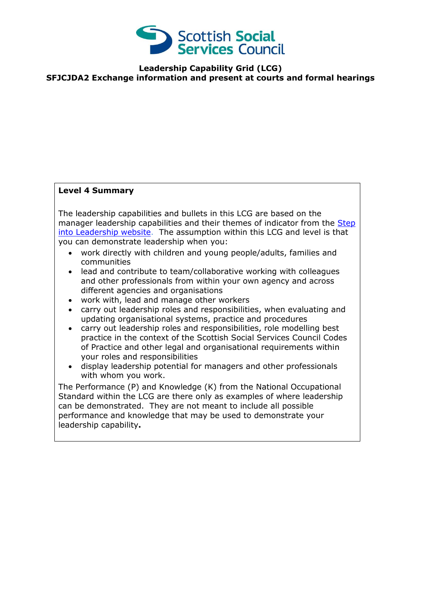

## **Leadership Capability Grid (LCG) SFJCJDA2 Exchange information and present at courts and formal hearings**

## **Level 4 Summary**

The leadership capabilities and bullets in this LCG are based on the manager leadership capabilities and their themes of indicator from the Step [into Leadership website.](http://www.stepintoleadership.info/index.html) The assumption within this LCG and level is that you can demonstrate leadership when you:

- work directly with children and young people/adults, families and communities
- lead and contribute to team/collaborative working with colleagues and other professionals from within your own agency and across different agencies and organisations
- work with, lead and manage other workers
- carry out leadership roles and responsibilities, when evaluating and updating organisational systems, practice and procedures
- carry out leadership roles and responsibilities, role modelling best practice in the context of the Scottish Social Services Council Codes of Practice and other legal and organisational requirements within your roles and responsibilities
- display leadership potential for managers and other professionals with whom you work.

The Performance (P) and Knowledge (K) from the National Occupational Standard within the LCG are there only as examples of where leadership can be demonstrated. They are not meant to include all possible performance and knowledge that may be used to demonstrate your leadership capability**.**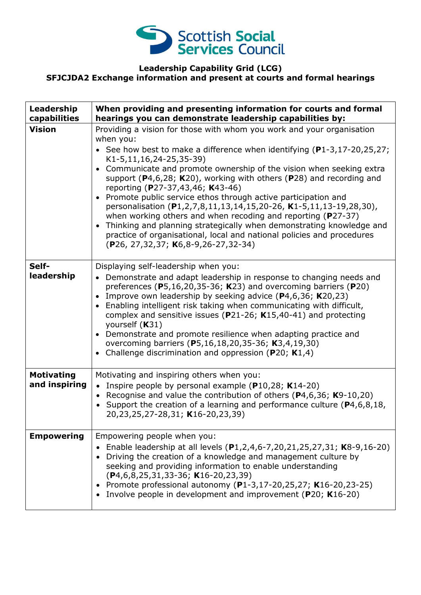

## **Leadership Capability Grid (LCG) SFJCJDA2 Exchange information and present at courts and formal hearings**

| Leadership<br>capabilities         | When providing and presenting information for courts and formal<br>hearings you can demonstrate leadership capabilities by:                                                                                                                                                                                                                                                                                                                                                                                                                                                                                                                                                                                                                                                                                                   |
|------------------------------------|-------------------------------------------------------------------------------------------------------------------------------------------------------------------------------------------------------------------------------------------------------------------------------------------------------------------------------------------------------------------------------------------------------------------------------------------------------------------------------------------------------------------------------------------------------------------------------------------------------------------------------------------------------------------------------------------------------------------------------------------------------------------------------------------------------------------------------|
| <b>Vision</b>                      | Providing a vision for those with whom you work and your organisation<br>when you:<br>• See how best to make a difference when identifying $(P1-3, 17-20, 25, 27)$ ;<br>K1-5,11,16,24-25,35-39)<br>Communicate and promote ownership of the vision when seeking extra<br>$\bullet$<br>support ( $P4,6,28$ ; K20), working with others ( $P28$ ) and recording and<br>reporting (P27-37,43,46; K43-46)<br>Promote public service ethos through active participation and<br>personalisation (P1,2,7,8,11,13,14,15,20-26, K1-5,11,13-19,28,30),<br>when working others and when recoding and reporting ( $P27-37$ )<br>Thinking and planning strategically when demonstrating knowledge and<br>$\bullet$<br>practice of organisational, local and national policies and procedures<br>$(P26, 27, 32, 37; K6, 8-9, 26-27, 32-34)$ |
| Self-<br>leadership                | Displaying self-leadership when you:<br>• Demonstrate and adapt leadership in response to changing needs and<br>preferences ( $P5,16,20,35-36$ ; K23) and overcoming barriers ( $P20$ )<br>Improve own leadership by seeking advice $(P4, 6, 36; K20, 23)$<br>$\bullet$<br>Enabling intelligent risk taking when communicating with difficult,<br>$\bullet$<br>complex and sensitive issues ( $P$ 21-26; K15,40-41) and protecting<br>yourself (K31)<br>Demonstrate and promote resilience when adapting practice and<br>$\bullet$<br>overcoming barriers (P5,16,18,20,35-36; K3,4,19,30)<br>Challenge discrimination and oppression ( $P20$ ; K1,4)<br>$\bullet$                                                                                                                                                             |
| <b>Motivating</b><br>and inspiring | Motivating and inspiring others when you:<br>• Inspire people by personal example ( $P10,28$ ; K14-20)<br>• Recognise and value the contribution of others ( $P$ 4,6,36; K9-10,20)<br>• Support the creation of a learning and performance culture ( $P4, 6, 8, 18$ ,<br>20,23,25,27-28,31; K16-20,23,39)                                                                                                                                                                                                                                                                                                                                                                                                                                                                                                                     |
| <b>Empowering</b>                  | Empowering people when you:<br>• Enable leadership at all levels $(P1, 2, 4, 6-7, 20, 21, 25, 27, 31; K8-9, 16-20)$<br>Driving the creation of a knowledge and management culture by<br>seeking and providing information to enable understanding<br>$(P4, 6, 8, 25, 31, 33 - 36; K16 - 20, 23, 39)$<br>Promote professional autonomy (P1-3,17-20,25,27; K16-20,23-25)<br>Involve people in development and improvement (P20; K16-20)                                                                                                                                                                                                                                                                                                                                                                                         |